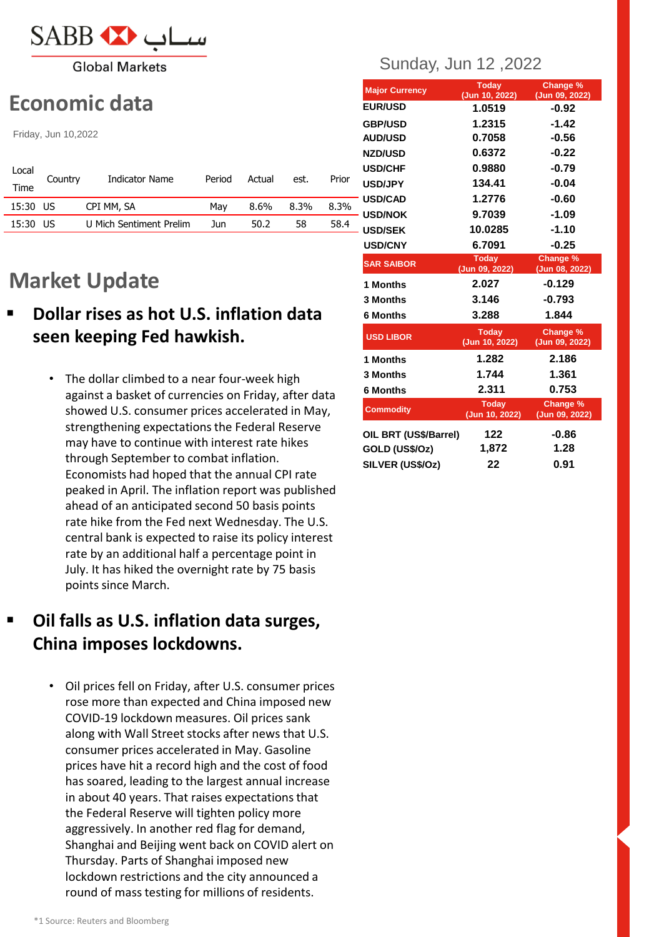

**Global Markets** 

# **Economic data**

Friday, Jun 10,2022

| Local    | Country | Indicator Name          | Period | Actual | est. | Prior |
|----------|---------|-------------------------|--------|--------|------|-------|
| Time     |         |                         |        |        |      |       |
| 15:30 US |         | CPI MM, SA              | Mav    | 8.6%   | 8.3% | 8.3%  |
| 15:30 US |         | U Mich Sentiment Prelim | Jun    | 50.2   | 58   | 58.4  |

# **Market Update**

- **Dollar rises as hot U.S. inflation data seen keeping Fed hawkish.**
	- The dollar climbed to a near four-week high against a basket of currencies on Friday, after data showed U.S. consumer prices accelerated in May, strengthening expectations the Federal Reserve may have to continue with interest rate hikes through September to combat inflation. Economists had hoped that the annual CPI rate peaked in April. The inflation report was published ahead of an anticipated second 50 basis points rate hike from the Fed next Wednesday. The U.S. central bank is expected to raise its policy interest rate by an additional half a percentage point in July. It has hiked the overnight rate by 75 basis points since March.

# **Oil falls as U.S. inflation data surges, China imposes lockdowns.**

• Oil prices fell on Friday, after U.S. consumer prices rose more than expected and China imposed new COVID-19 lockdown measures. Oil prices sank along with Wall Street stocks after news that U.S. consumer prices accelerated in May. Gasoline prices have hit a record high and the cost of food has soared, leading to the largest annual increase in about 40 years. That raises expectations that the Federal Reserve will tighten policy more aggressively. In another red flag for demand, Shanghai and Beijing went back on COVID alert on Thursday. Parts of Shanghai imposed new lockdown restrictions and the city announced a round of mass testing for millions of residents.

## Sunday, Jun 12 ,2022

| <b>Major Currency</b> | <b>Today</b><br>(Jun 10, 2022) | Change %<br>(Jun 09, 2022) |
|-----------------------|--------------------------------|----------------------------|
| <b>EUR/USD</b>        | 1.0519                         | $-0.92$                    |
| <b>GBP/USD</b>        | 1.2315                         | $-1.42$                    |
| <b>AUD/USD</b>        | 0.7058                         | $-0.56$                    |
| <b>NZD/USD</b>        | 0.6372                         | $-0.22$                    |
| <b>USD/CHF</b>        | 0.9880                         | $-0.79$                    |
| <b>USD/JPY</b>        | 134.41                         | $-0.04$                    |
| <b>USD/CAD</b>        | 1.2776                         | $-0.60$                    |
| – USD/NOK             | 9.7039                         | $-1.09$                    |
| <b>USD/SEK</b>        | 10.0285                        | $-1.10$                    |
| <b>USD/CNY</b>        | 6.7091                         | $-0.25$                    |
| <b>SAR SAIBOR</b>     | <b>Today</b><br>(Jun 09, 2022) | Change %<br>(Jun 08, 2022) |
| 1 Months              | 2.027                          | $-0.129$                   |
| 3 Months              | 3.146                          | $-0.793$                   |
| 6 Months              | 3.288                          | 1.844                      |
| <b>USD LIBOR</b>      | <b>Today</b><br>(Jun 10, 2022) | Change %<br>(Jun 09, 2022) |
| 1 Months              | 1.282                          | 2.186                      |
| 3 Months              | 1.744                          | 1.361                      |
| <b>6 Months</b>       | 2.311                          | 0.753                      |
| <b>Commodity</b>      | <b>Today</b><br>(Jun 10, 2022) | Change %<br>(Jun 09, 2022) |
| OIL BRT (US\$/Barrel) | 122                            | $-0.86$                    |
| GOLD (US\$/Oz)        | 1,872                          | 1.28                       |
| SILVER (US\$/Oz)      | 22                             | 0.91                       |